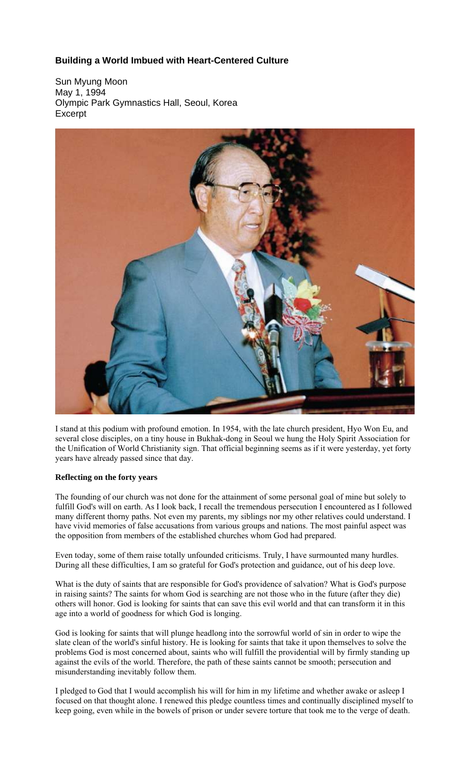## **Building a World Imbued with Heart-Centered Culture**

Sun Myung Moon May 1, 1994 Olympic Park Gymnastics Hall, Seoul, Korea **Excerpt** 



I stand at this podium with profound emotion. In 1954, with the late church president, Hyo Won Eu, and several close disciples, on a tiny house in Bukhak-dong in Seoul we hung the Holy Spirit Association for the Unification of World Christianity sign. That official beginning seems as if it were yesterday, yet forty years have already passed since that day.

## **Reflecting on the forty years**

The founding of our church was not done for the attainment of some personal goal of mine but solely to fulfill God's will on earth. As I look back, I recall the tremendous persecution I encountered as I followed many different thorny paths. Not even my parents, my siblings nor my other relatives could understand. I have vivid memories of false accusations from various groups and nations. The most painful aspect was the opposition from members of the established churches whom God had prepared.

Even today, some of them raise totally unfounded criticisms. Truly, I have surmounted many hurdles. During all these difficulties, I am so grateful for God's protection and guidance, out of his deep love.

What is the duty of saints that are responsible for God's providence of salvation? What is God's purpose in raising saints? The saints for whom God is searching are not those who in the future (after they die) others will honor. God is looking for saints that can save this evil world and that can transform it in this age into a world of goodness for which God is longing.

God is looking for saints that will plunge headlong into the sorrowful world of sin in order to wipe the slate clean of the world's sinful history. He is looking for saints that take it upon themselves to solve the problems God is most concerned about, saints who will fulfill the providential will by firmly standing up against the evils of the world. Therefore, the path of these saints cannot be smooth; persecution and misunderstanding inevitably follow them.

I pledged to God that I would accomplish his will for him in my lifetime and whether awake or asleep I focused on that thought alone. I renewed this pledge countless times and continually disciplined myself to keep going, even while in the bowels of prison or under severe torture that took me to the verge of death.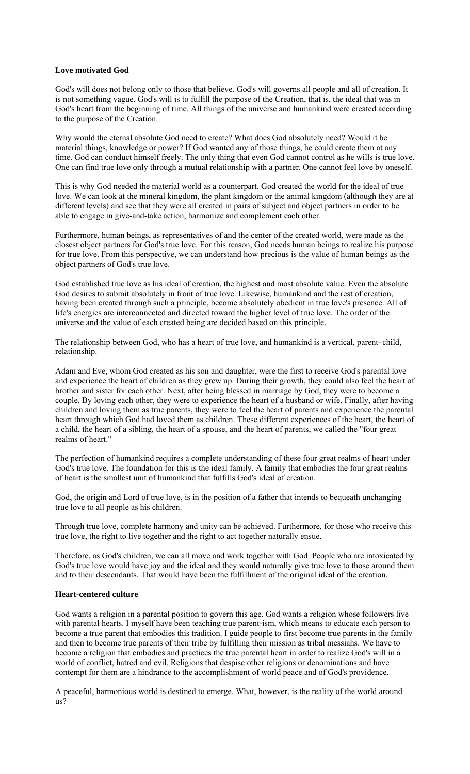## **Love motivated God**

God's will does not belong only to those that believe. God's will governs all people and all of creation. It is not something vague. God's will is to fulfill the purpose of the Creation, that is, the ideal that was in God's heart from the beginning of time. All things of the universe and humankind were created according to the purpose of the Creation.

Why would the eternal absolute God need to create? What does God absolutely need? Would it be material things, knowledge or power? If God wanted any of those things, he could create them at any time. God can conduct himself freely. The only thing that even God cannot control as he wills is true love. One can find true love only through a mutual relationship with a partner. One cannot feel love by oneself.

This is why God needed the material world as a counterpart. God created the world for the ideal of true love. We can look at the mineral kingdom, the plant kingdom or the animal kingdom (although they are at different levels) and see that they were all created in pairs of subject and object partners in order to be able to engage in give-and-take action, harmonize and complement each other.

Furthermore, human beings, as representatives of and the center of the created world, were made as the closest object partners for God's true love. For this reason, God needs human beings to realize his purpose for true love. From this perspective, we can understand how precious is the value of human beings as the object partners of God's true love.

God established true love as his ideal of creation, the highest and most absolute value. Even the absolute God desires to submit absolutely in front of true love. Likewise, humankind and the rest of creation, having been created through such a principle, become absolutely obedient in true love's presence. All of life's energies are interconnected and directed toward the higher level of true love. The order of the universe and the value of each created being are decided based on this principle.

The relationship between God, who has a heart of true love, and humankind is a vertical, parent–child, relationship.

Adam and Eve, whom God created as his son and daughter, were the first to receive God's parental love and experience the heart of children as they grew up. During their growth, they could also feel the heart of brother and sister for each other. Next, after being blessed in marriage by God, they were to become a couple. By loving each other, they were to experience the heart of a husband or wife. Finally, after having children and loving them as true parents, they were to feel the heart of parents and experience the parental heart through which God had loved them as children. These different experiences of the heart, the heart of a child, the heart of a sibling, the heart of a spouse, and the heart of parents, we called the "four great realms of heart."

The perfection of humankind requires a complete understanding of these four great realms of heart under God's true love. The foundation for this is the ideal family. A family that embodies the four great realms of heart is the smallest unit of humankind that fulfills God's ideal of creation.

God, the origin and Lord of true love, is in the position of a father that intends to bequeath unchanging true love to all people as his children.

Through true love, complete harmony and unity can be achieved. Furthermore, for those who receive this true love, the right to live together and the right to act together naturally ensue.

Therefore, as God's children, we can all move and work together with God. People who are intoxicated by God's true love would have joy and the ideal and they would naturally give true love to those around them and to their descendants. That would have been the fulfillment of the original ideal of the creation.

## **Heart-centered culture**

God wants a religion in a parental position to govern this age. God wants a religion whose followers live with parental hearts. I myself have been teaching true parent-ism, which means to educate each person to become a true parent that embodies this tradition. I guide people to first become true parents in the family and then to become true parents of their tribe by fulfilling their mission as tribal messiahs. We have to become a religion that embodies and practices the true parental heart in order to realize God's will in a world of conflict, hatred and evil. Religions that despise other religions or denominations and have contempt for them are a hindrance to the accomplishment of world peace and of God's providence.

A peaceful, harmonious world is destined to emerge. What, however, is the reality of the world around us?